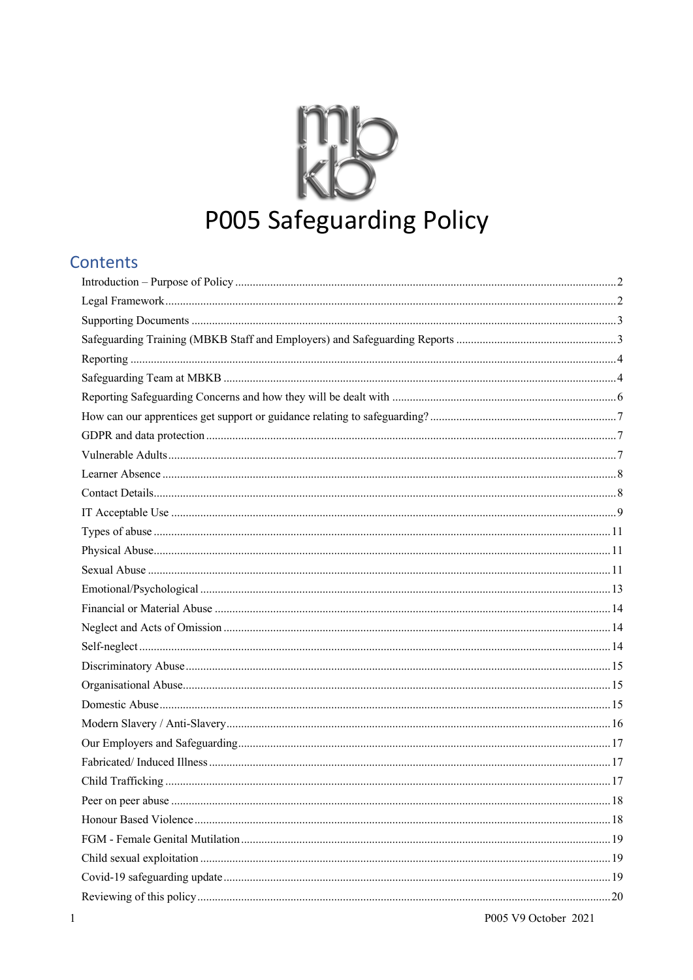# P005 Safeguarding Policy

#### Contents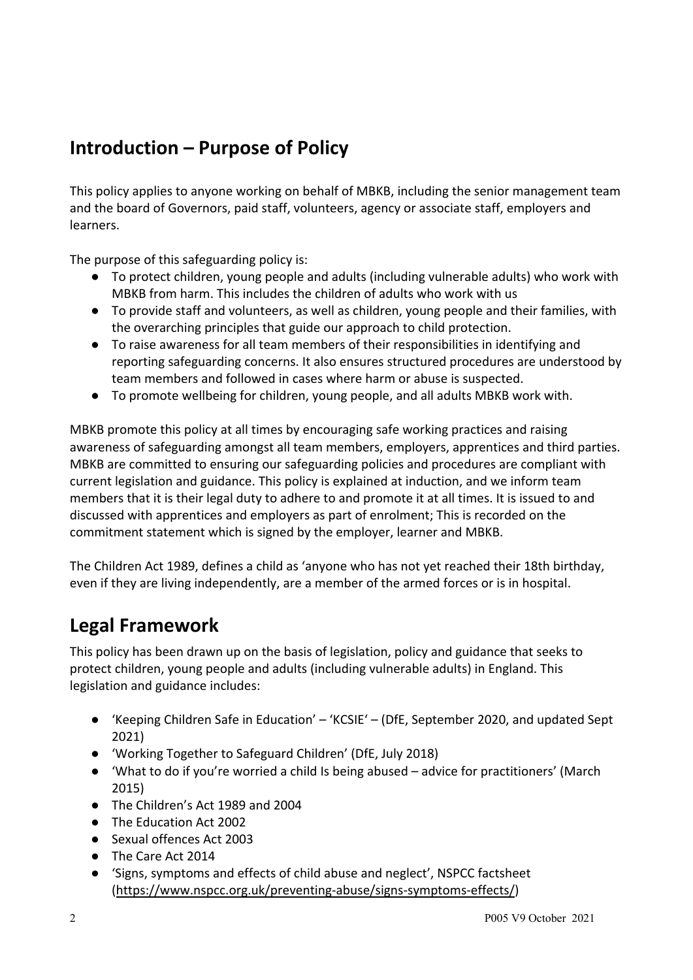# **Introduction – Purpose of Policy**

This policy applies to anyone working on behalf of MBKB, including the senior management team and the board of Governors, paid staff, volunteers, agency or associate staff, employers and learners.

The purpose of this safeguarding policy is:

- To protect children, young people and adults (including vulnerable adults) who work with MBKB from harm. This includes the children of adults who work with us
- To provide staff and volunteers, as well as children, young people and their families, with the overarching principles that guide our approach to child protection.
- To raise awareness for all team members of their responsibilities in identifying and reporting safeguarding concerns. It also ensures structured procedures are understood by team members and followed in cases where harm or abuse is suspected.
- To promote wellbeing for children, young people, and all adults MBKB work with.

MBKB promote this policy at all times by encouraging safe working practices and raising awareness of safeguarding amongst all team members, employers, apprentices and third parties. MBKB are committed to ensuring our safeguarding policies and procedures are compliant with current legislation and guidance. This policy is explained at induction, and we inform team members that it is their legal duty to adhere to and promote it at all times. It is issued to and discussed with apprentices and employers as part of enrolment; This is recorded on the commitment statement which is signed by the employer, learner and MBKB.

The Children Act 1989, defines a child as 'anyone who has not yet reached their 18th birthday, even if they are living independently, are a member of the armed forces or is in hospital.

#### **Legal Framework**

This policy has been drawn up on the basis of legislation, policy and guidance that seeks to protect children, young people and adults (including vulnerable adults) in England. This legislation and guidance includes:

- 'Keeping Children Safe in Education' 'KCSIE' (DfE, September 2020, and updated Sept 2021)
- 'Working Together to Safeguard Children' (DfE, July 2018)
- 'What to do if you're worried a child Is being abused advice for practitioners' (March 2015)
- The Children's Act 1989 and 2004
- The Education Act 2002
- Sexual offences Act 2003
- The Care Act 2014
- 'Signs, symptoms and effects of child abuse and neglect', NSPCC factsheet (https://www.nspcc.org.uk/preventing-abuse/signs-symptoms-effects/)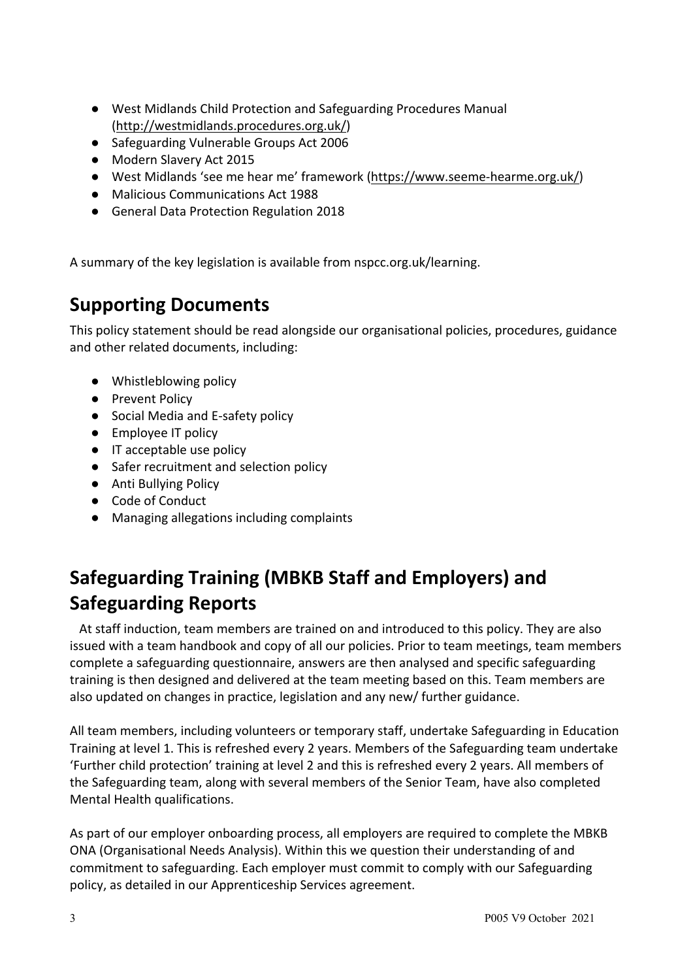- West Midlands Child Protection and Safeguarding Procedures Manual (http://westmidlands.procedures.org.uk/)
- Safeguarding Vulnerable Groups Act 2006
- Modern Slavery Act 2015
- West Midlands 'see me hear me' framework (https://www.seeme-hearme.org.uk/)
- Malicious Communications Act 1988
- General Data Protection Regulation 2018

A summary of the key legislation is available from nspcc.org.uk/learning.

#### **Supporting Documents**

This policy statement should be read alongside our organisational policies, procedures, guidance and other related documents, including:

- Whistleblowing policy
- Prevent Policy
- Social Media and E-safety policy
- Employee IT policy
- IT acceptable use policy
- Safer recruitment and selection policy
- Anti Bullying Policy
- Code of Conduct
- Managing allegations including complaints

# **Safeguarding Training (MBKB Staff and Employers) and Safeguarding Reports**

 At staff induction, team members are trained on and introduced to this policy. They are also issued with a team handbook and copy of all our policies. Prior to team meetings, team members complete a safeguarding questionnaire, answers are then analysed and specific safeguarding training is then designed and delivered at the team meeting based on this. Team members are also updated on changes in practice, legislation and any new/ further guidance.

All team members, including volunteers or temporary staff, undertake Safeguarding in Education Training at level 1. This is refreshed every 2 years. Members of the Safeguarding team undertake 'Further child protection' training at level 2 and this is refreshed every 2 years. All members of the Safeguarding team, along with several members of the Senior Team, have also completed Mental Health qualifications.

As part of our employer onboarding process, all employers are required to complete the MBKB ONA (Organisational Needs Analysis). Within this we question their understanding of and commitment to safeguarding. Each employer must commit to comply with our Safeguarding policy, as detailed in our Apprenticeship Services agreement.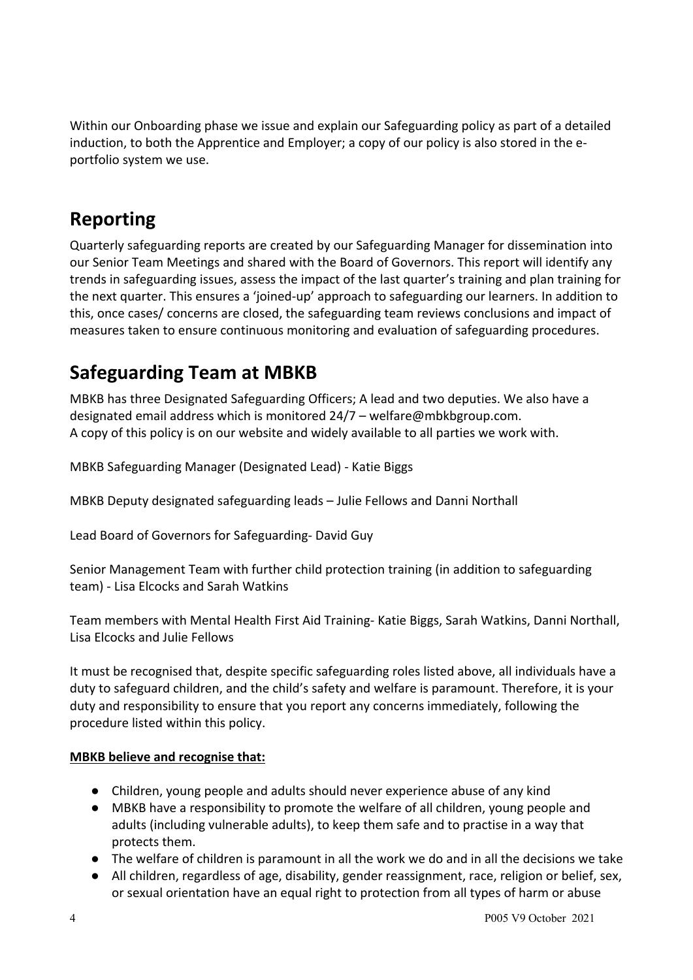Within our Onboarding phase we issue and explain our Safeguarding policy as part of a detailed induction, to both the Apprentice and Employer; a copy of our policy is also stored in the eportfolio system we use.

# **Reporting**

Quarterly safeguarding reports are created by our Safeguarding Manager for dissemination into our Senior Team Meetings and shared with the Board of Governors. This report will identify any trends in safeguarding issues, assess the impact of the last quarter's training and plan training for the next quarter. This ensures a 'joined-up' approach to safeguarding our learners. In addition to this, once cases/ concerns are closed, the safeguarding team reviews conclusions and impact of measures taken to ensure continuous monitoring and evaluation of safeguarding procedures.

# **Safeguarding Team at MBKB**

MBKB has three Designated Safeguarding Officers; A lead and two deputies. We also have a designated email address which is monitored 24/7 – welfare@mbkbgroup.com. A copy of this policy is on our website and widely available to all parties we work with.

MBKB Safeguarding Manager (Designated Lead) - Katie Biggs

MBKB Deputy designated safeguarding leads – Julie Fellows and Danni Northall

Lead Board of Governors for Safeguarding- David Guy

Senior Management Team with further child protection training (in addition to safeguarding team) - Lisa Elcocks and Sarah Watkins

Team members with Mental Health First Aid Training- Katie Biggs, Sarah Watkins, Danni Northall, Lisa Elcocks and Julie Fellows

It must be recognised that, despite specific safeguarding roles listed above, all individuals have a duty to safeguard children, and the child's safety and welfare is paramount. Therefore, it is your duty and responsibility to ensure that you report any concerns immediately, following the procedure listed within this policy.

#### **MBKB believe and recognise that:**

- Children, young people and adults should never experience abuse of any kind
- MBKB have a responsibility to promote the welfare of all children, young people and adults (including vulnerable adults), to keep them safe and to practise in a way that protects them.
- The welfare of children is paramount in all the work we do and in all the decisions we take
- All children, regardless of age, disability, gender reassignment, race, religion or belief, sex, or sexual orientation have an equal right to protection from all types of harm or abuse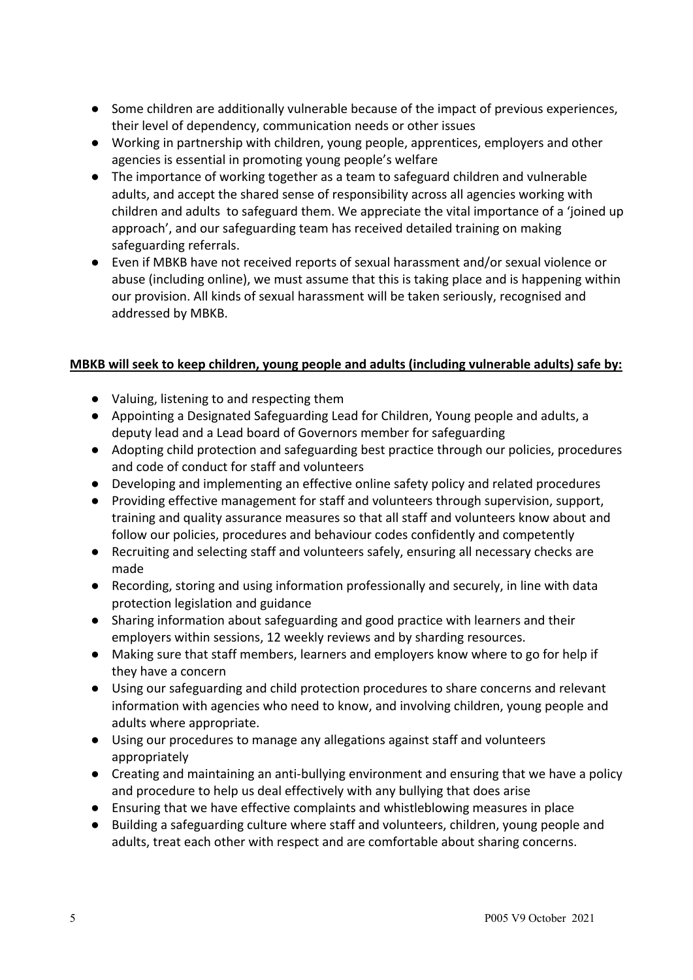- Some children are additionally vulnerable because of the impact of previous experiences, their level of dependency, communication needs or other issues
- Working in partnership with children, young people, apprentices, employers and other agencies is essential in promoting young people's welfare
- The importance of working together as a team to safeguard children and vulnerable adults, and accept the shared sense of responsibility across all agencies working with children and adults to safeguard them. We appreciate the vital importance of a 'joined up approach', and our safeguarding team has received detailed training on making safeguarding referrals.
- Even if MBKB have not received reports of sexual harassment and/or sexual violence or abuse (including online), we must assume that this is taking place and is happening within our provision. All kinds of sexual harassment will be taken seriously, recognised and addressed by MBKB.

#### **MBKB will seek to keep children, young people and adults (including vulnerable adults) safe by:**

- Valuing, listening to and respecting them
- Appointing a Designated Safeguarding Lead for Children, Young people and adults, a deputy lead and a Lead board of Governors member for safeguarding
- Adopting child protection and safeguarding best practice through our policies, procedures and code of conduct for staff and volunteers
- Developing and implementing an effective online safety policy and related procedures
- Providing effective management for staff and volunteers through supervision, support, training and quality assurance measures so that all staff and volunteers know about and follow our policies, procedures and behaviour codes confidently and competently
- Recruiting and selecting staff and volunteers safely, ensuring all necessary checks are made
- Recording, storing and using information professionally and securely, in line with data protection legislation and guidance
- Sharing information about safeguarding and good practice with learners and their employers within sessions, 12 weekly reviews and by sharding resources.
- Making sure that staff members, learners and employers know where to go for help if they have a concern
- Using our safeguarding and child protection procedures to share concerns and relevant information with agencies who need to know, and involving children, young people and adults where appropriate.
- Using our procedures to manage any allegations against staff and volunteers appropriately
- Creating and maintaining an anti-bullying environment and ensuring that we have a policy and procedure to help us deal effectively with any bullying that does arise
- Ensuring that we have effective complaints and whistleblowing measures in place
- Building a safeguarding culture where staff and volunteers, children, young people and adults, treat each other with respect and are comfortable about sharing concerns.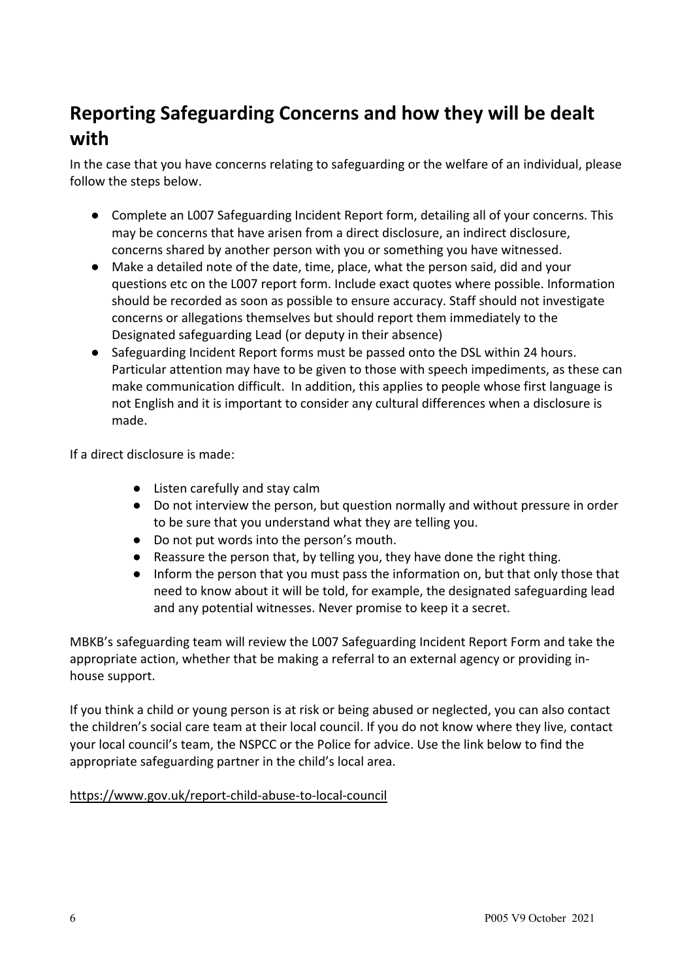# **Reporting Safeguarding Concerns and how they will be dealt with**

In the case that you have concerns relating to safeguarding or the welfare of an individual, please follow the steps below.

- Complete an L007 Safeguarding Incident Report form, detailing all of your concerns. This may be concerns that have arisen from a direct disclosure, an indirect disclosure, concerns shared by another person with you or something you have witnessed.
- Make a detailed note of the date, time, place, what the person said, did and your questions etc on the L007 report form. Include exact quotes where possible. Information should be recorded as soon as possible to ensure accuracy. Staff should not investigate concerns or allegations themselves but should report them immediately to the Designated safeguarding Lead (or deputy in their absence)
- Safeguarding Incident Report forms must be passed onto the DSL within 24 hours. Particular attention may have to be given to those with speech impediments, as these can make communication difficult. In addition, this applies to people whose first language is not English and it is important to consider any cultural differences when a disclosure is made.

If a direct disclosure is made:

- Listen carefully and stay calm
- Do not interview the person, but question normally and without pressure in order to be sure that you understand what they are telling you.
- Do not put words into the person's mouth.
- Reassure the person that, by telling you, they have done the right thing.
- Inform the person that you must pass the information on, but that only those that need to know about it will be told, for example, the designated safeguarding lead and any potential witnesses. Never promise to keep it a secret.

MBKB's safeguarding team will review the L007 Safeguarding Incident Report Form and take the appropriate action, whether that be making a referral to an external agency or providing inhouse support.

If you think a child or young person is at risk or being abused or neglected, you can also contact the children's social care team at their local council. If you do not know where they live, contact your local council's team, the NSPCC or the Police for advice. Use the link below to find the appropriate safeguarding partner in the child's local area.

#### https://www.gov.uk/report-child-abuse-to-local-council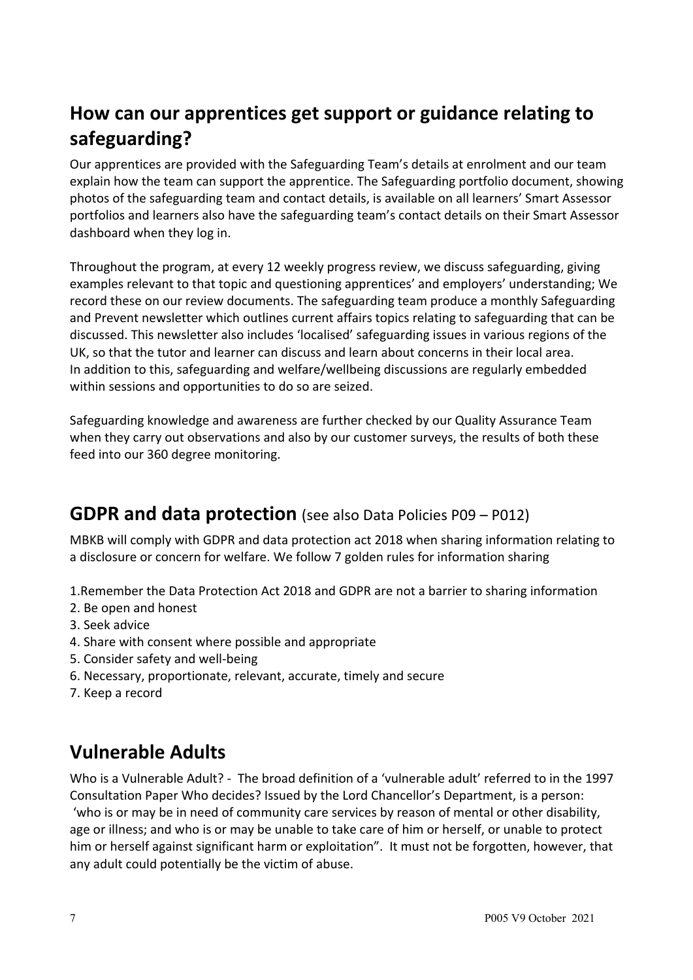# **How can our apprentices get support or guidance relating to safeguarding?**

Our apprentices are provided with the Safeguarding Team's details at enrolment and our team explain how the team can support the apprentice. The Safeguarding portfolio document, showing photos of the safeguarding team and contact details, is available on all learners' Smart Assessor portfolios and learners also have the safeguarding team's contact details on their Smart Assessor dashboard when they log in.

Throughout the program, at every 12 weekly progress review, we discuss safeguarding, giving examples relevant to that topic and questioning apprentices' and employers' understanding; We record these on our review documents. The safeguarding team produce a monthly Safeguarding and Prevent newsletter which outlines current affairs topics relating to safeguarding that can be discussed. This newsletter also includes 'localised' safeguarding issues in various regions of the UK, so that the tutor and learner can discuss and learn about concerns in their local area. In addition to this, safeguarding and welfare/wellbeing discussions are regularly embedded within sessions and opportunities to do so are seized.

Safeguarding knowledge and awareness are further checked by our Quality Assurance Team when they carry out observations and also by our customer surveys, the results of both these feed into our 360 degree monitoring.

#### **GDPR and data protection** (see also Data Policies P09 – P012)

MBKB will comply with GDPR and data protection act 2018 when sharing information relating to a disclosure or concern for welfare. We follow 7 golden rules for information sharing

- 1.Remember the Data Protection Act 2018 and GDPR are not a barrier to sharing information
- 2. Be open and honest
- 3. Seek advice
- 4. Share with consent where possible and appropriate
- 5. Consider safety and well-being
- 6. Necessary, proportionate, relevant, accurate, timely and secure
- 7. Keep a record

#### **Vulnerable Adults**

Who is a Vulnerable Adult? - The broad definition of a 'vulnerable adult' referred to in the 1997 Consultation Paper Who decides? Issued by the Lord Chancellor's Department, is a person: 'who is or may be in need of community care services by reason of mental or other disability, age or illness; and who is or may be unable to take care of him or herself, or unable to protect him or herself against significant harm or exploitation". It must not be forgotten, however, that any adult could potentially be the victim of abuse.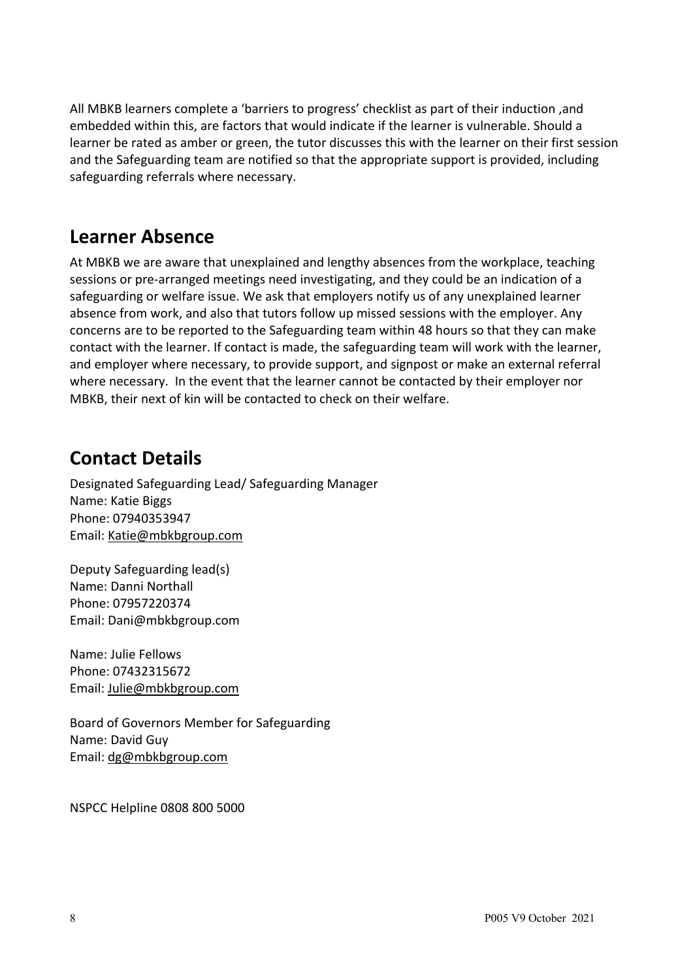All MBKB learners complete a 'barriers to progress' checklist as part of their induction ,and embedded within this, are factors that would indicate if the learner is vulnerable. Should a learner be rated as amber or green, the tutor discusses this with the learner on their first session and the Safeguarding team are notified so that the appropriate support is provided, including safeguarding referrals where necessary.

#### **Learner Absence**

At MBKB we are aware that unexplained and lengthy absences from the workplace, teaching sessions or pre-arranged meetings need investigating, and they could be an indication of a safeguarding or welfare issue. We ask that employers notify us of any unexplained learner absence from work, and also that tutors follow up missed sessions with the employer. Any concerns are to be reported to the Safeguarding team within 48 hours so that they can make contact with the learner. If contact is made, the safeguarding team will work with the learner, and employer where necessary, to provide support, and signpost or make an external referral where necessary. In the event that the learner cannot be contacted by their employer nor MBKB, their next of kin will be contacted to check on their welfare.

## **Contact Details**

Designated Safeguarding Lead/ Safeguarding Manager Name: Katie Biggs Phone: 07940353947 Email: Katie@mbkbgroup.com

Deputy Safeguarding lead(s) Name: Danni Northall Phone: 07957220374 Email: Dani@mbkbgroup.com

Name: Julie Fellows Phone: 07432315672 Email: Julie@mbkbgroup.com

Board of Governors Member for Safeguarding Name: David Guy Email: dg@mbkbgroup.com

NSPCC Helpline 0808 800 5000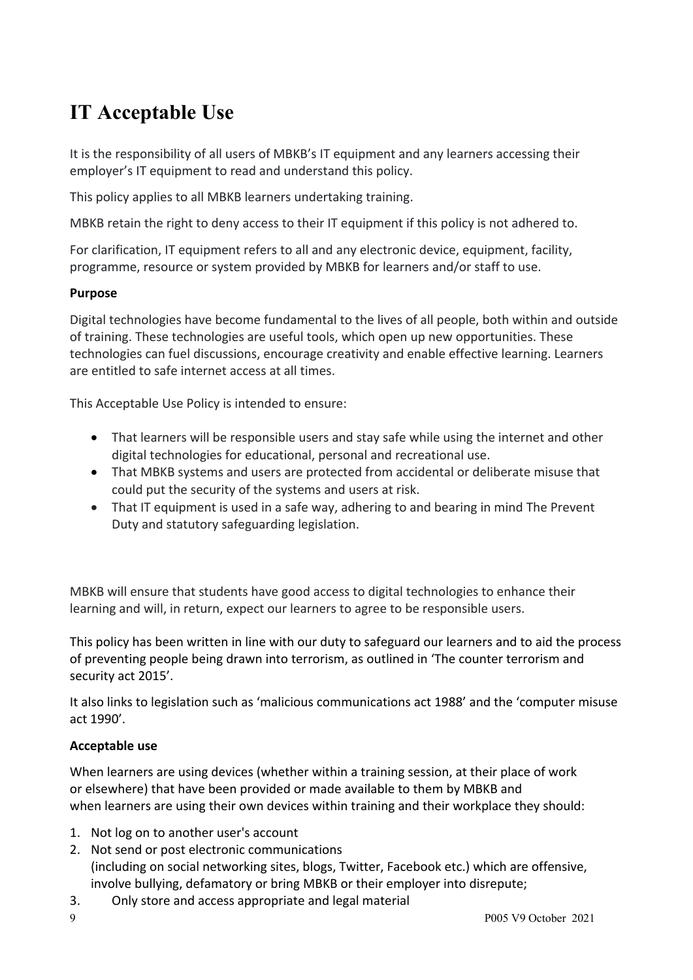# **IT Acceptable Use**

It is the responsibility of all users of MBKB's IT equipment and any learners accessing their employer's IT equipment to read and understand this policy.

This policy applies to all MBKB learners undertaking training.

MBKB retain the right to deny access to their IT equipment if this policy is not adhered to.

For clarification, IT equipment refers to all and any electronic device, equipment, facility, programme, resource or system provided by MBKB for learners and/or staff to use.

#### **Purpose**

Digital technologies have become fundamental to the lives of all people, both within and outside of training. These technologies are useful tools, which open up new opportunities. These technologies can fuel discussions, encourage creativity and enable effective learning. Learners are entitled to safe internet access at all times.

This Acceptable Use Policy is intended to ensure:

- That learners will be responsible users and stay safe while using the internet and other digital technologies for educational, personal and recreational use.
- That MBKB systems and users are protected from accidental or deliberate misuse that could put the security of the systems and users at risk.
- That IT equipment is used in a safe way, adhering to and bearing in mind The Prevent Duty and statutory safeguarding legislation.

MBKB will ensure that students have good access to digital technologies to enhance their learning and will, in return, expect our learners to agree to be responsible users.

This policy has been written in line with our duty to safeguard our learners and to aid the process of preventing people being drawn into terrorism, as outlined in 'The counter terrorism and security act 2015'.

It also links to legislation such as 'malicious communications act 1988' and the 'computer misuse act 1990'.

#### **Acceptable use**

When learners are using devices (whether within a training session, at their place of work or elsewhere) that have been provided or made available to them by MBKB and when learners are using their own devices within training and their workplace they should:

- 1. Not log on to another user's account
- 2. Not send or post electronic communications (including on social networking sites, blogs, Twitter, Facebook etc.) which are offensive, involve bullying, defamatory or bring MBKB or their employer into disrepute;
- 3. Only store and access appropriate and legal material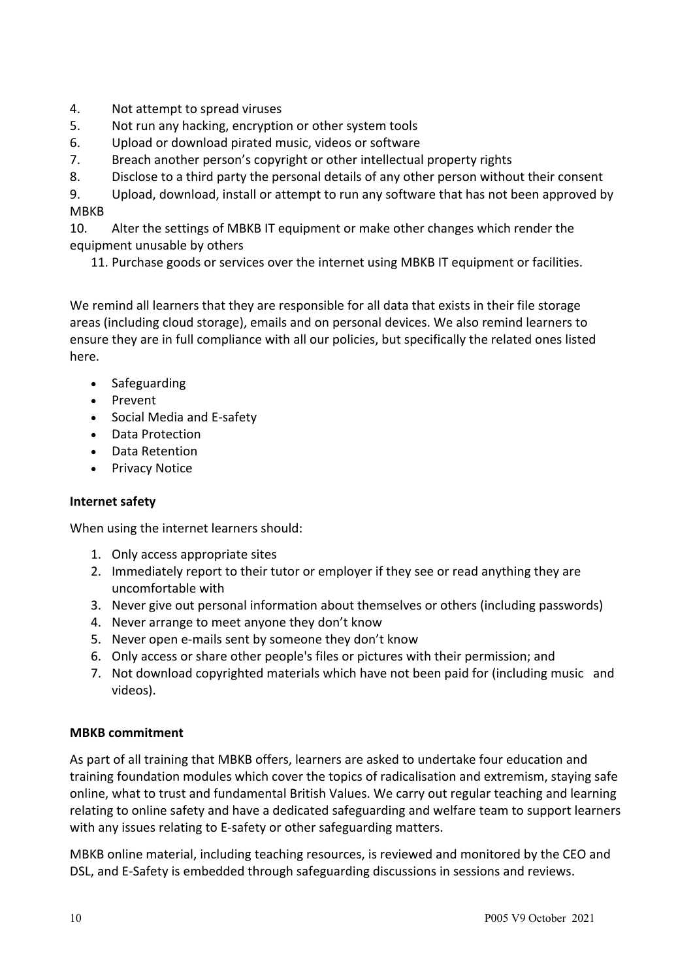- 4. Not attempt to spread viruses
- 5. Not run any hacking, encryption or other system tools
- 6. Upload or download pirated music, videos or software
- 7. Breach another person's copyright or other intellectual property rights
- 8. Disclose to a third party the personal details of any other person without their consent

9. Upload, download, install or attempt to run any software that has not been approved by MBKB

10. Alter the settings of MBKB IT equipment or make other changes which render the equipment unusable by others

11. Purchase goods or services over the internet using MBKB IT equipment or facilities.

We remind all learners that they are responsible for all data that exists in their file storage areas (including cloud storage), emails and on personal devices. We also remind learners to ensure they are in full compliance with all our policies, but specifically the related ones listed here.

- Safeguarding
- Prevent
- Social Media and E-safety
- Data Protection
- Data Retention
- Privacy Notice

#### **Internet safety**

When using the internet learners should:

- 1. Only access appropriate sites
- 2. Immediately report to their tutor or employer if they see or read anything they are uncomfortable with
- 3. Never give out personal information about themselves or others (including passwords)
- 4. Never arrange to meet anyone they don't know
- 5. Never open e-mails sent by someone they don't know
- 6. Only access or share other people's files or pictures with their permission; and
- 7. Not download copyrighted materials which have not been paid for (including music and videos).

#### **MBKB commitment**

As part of all training that MBKB offers, learners are asked to undertake four education and training foundation modules which cover the topics of radicalisation and extremism, staying safe online, what to trust and fundamental British Values. We carry out regular teaching and learning relating to online safety and have a dedicated safeguarding and welfare team to support learners with any issues relating to E-safety or other safeguarding matters.

MBKB online material, including teaching resources, is reviewed and monitored by the CEO and DSL, and E-Safety is embedded through safeguarding discussions in sessions and reviews.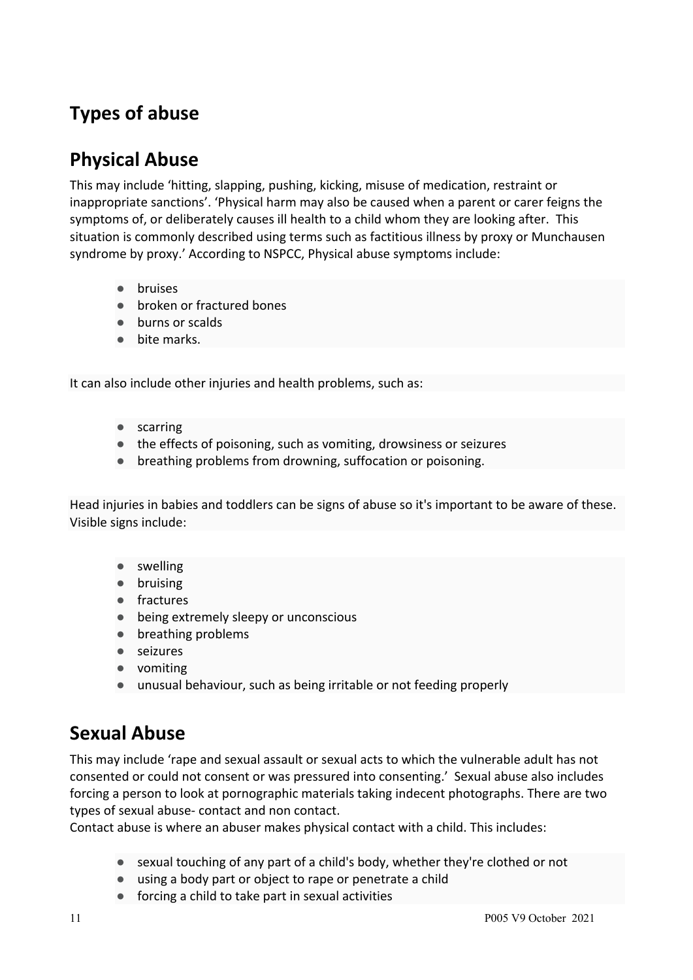# **Types of abuse**

# **Physical Abuse**

This may include 'hitting, slapping, pushing, kicking, misuse of medication, restraint or inappropriate sanctions'. 'Physical harm may also be caused when a parent or carer feigns the symptoms of, or deliberately causes ill health to a child whom they are looking after. This situation is commonly described using terms such as factitious illness by proxy or Munchausen syndrome by proxy.' According to NSPCC, Physical abuse symptoms include:

- bruises
- broken or fractured bones
- burns or scalds
- bite marks.

It can also include other injuries and health problems, such as:

- scarring
- the effects of poisoning, such as vomiting, drowsiness or seizures
- breathing problems from drowning, suffocation or poisoning.

Head injuries in babies and toddlers can be signs of abuse so it's important to be aware of these. Visible signs include:

- swelling
- bruising
- fractures
- being extremely sleepy or unconscious
- breathing problems
- seizures
- vomiting
- unusual behaviour, such as being irritable or not feeding properly

#### **Sexual Abuse**

This may include 'rape and sexual assault or sexual acts to which the vulnerable adult has not consented or could not consent or was pressured into consenting.' Sexual abuse also includes forcing a person to look at pornographic materials taking indecent photographs. There are two types of sexual abuse- contact and non contact.

Contact abuse is where an abuser makes physical contact with a child. This includes:

- sexual touching of any part of a child's body, whether they're clothed or not
- using a body part or object to rape or penetrate a child
- forcing a child to take part in sexual activities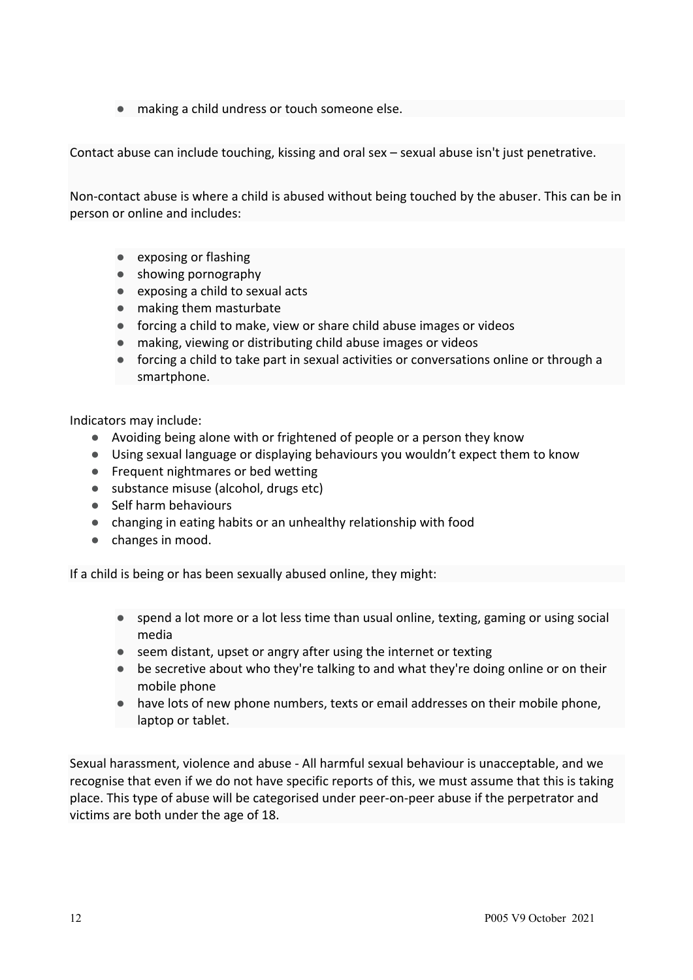making a child undress or touch someone else.

Contact abuse can include touching, kissing and oral sex – sexual abuse isn't just penetrative.

Non-contact abuse is where a child is abused without being touched by the abuser. This can be in person or online and includes:

- exposing or flashing
- showing pornography
- exposing a child to sexual acts
- making them masturbate
- forcing a child to make, view or share child abuse images or videos
- making, viewing or distributing child abuse images or videos
- forcing a child to take part in sexual activities or conversations online or through a smartphone.

Indicators may include:

- Avoiding being alone with or frightened of people or a person they know
- Using sexual language or displaying behaviours you wouldn't expect them to know
- Frequent nightmares or bed wetting
- substance misuse (alcohol, drugs etc)
- Self harm behaviours
- changing in eating habits or an unhealthy relationship with food
- changes in mood.

If a child is being or has been sexually abused online, they might:

- spend a lot more or a lot less time than usual online, texting, gaming or using social media
- seem distant, upset or angry after using the internet or texting
- be secretive about who they're talking to and what they're doing online or on their mobile phone
- have lots of new phone numbers, texts or email addresses on their mobile phone, laptop or tablet.

Sexual harassment, violence and abuse - All harmful sexual behaviour is unacceptable, and we recognise that even if we do not have specific reports of this, we must assume that this is taking place. This type of abuse will be categorised under peer-on-peer abuse if the perpetrator and victims are both under the age of 18.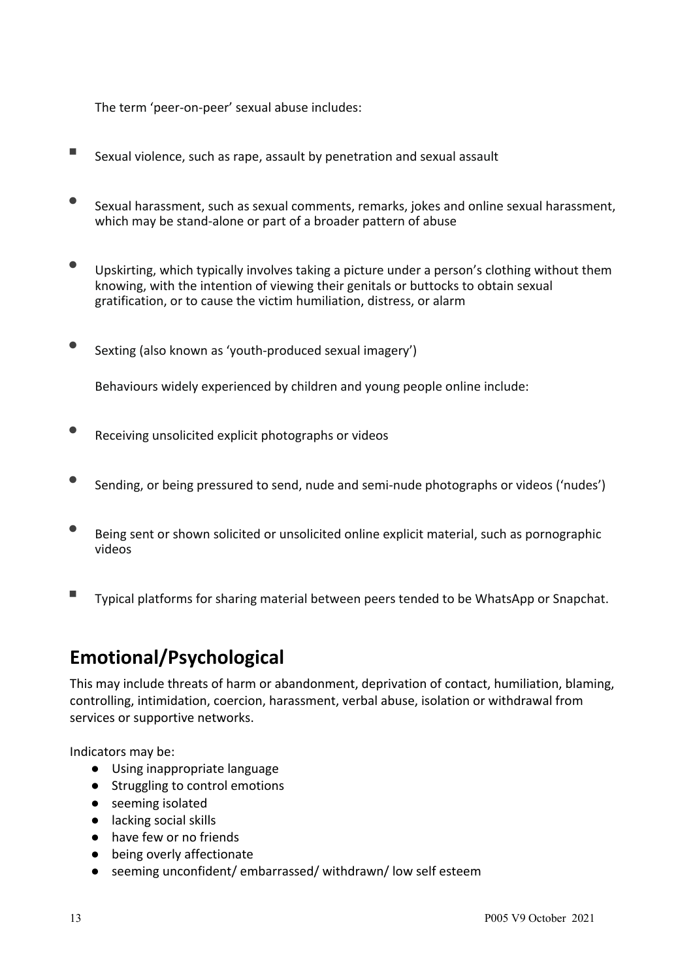The term 'peer-on-peer' sexual abuse includes:

- Sexual violence, such as rape, assault by penetration and sexual assault
- Sexual harassment, such as sexual comments, remarks, jokes and online sexual harassment, which may be stand-alone or part of a broader pattern of abuse
- Upskirting, which typically involves taking a picture under a person's clothing without them knowing, with the intention of viewing their genitals or buttocks to obtain sexual gratification, or to cause the victim humiliation, distress, or alarm
- Sexting (also known as 'youth-produced sexual imagery')

Behaviours widely experienced by children and young people online include:

- Receiving unsolicited explicit photographs or videos
- Sending, or being pressured to send, nude and semi-nude photographs or videos ('nudes')
- Being sent or shown solicited or unsolicited online explicit material, such as pornographic videos
- Typical platforms for sharing material between peers tended to be WhatsApp or Snapchat.

#### **Emotional/Psychological**

This may include threats of harm or abandonment, deprivation of contact, humiliation, blaming, controlling, intimidation, coercion, harassment, verbal abuse, isolation or withdrawal from services or supportive networks.

Indicators may be:

- Using inappropriate language
- Struggling to control emotions
- seeming isolated
- lacking social skills
- have few or no friends
- being overly affectionate
- seeming unconfident/ embarrassed/ withdrawn/ low self esteem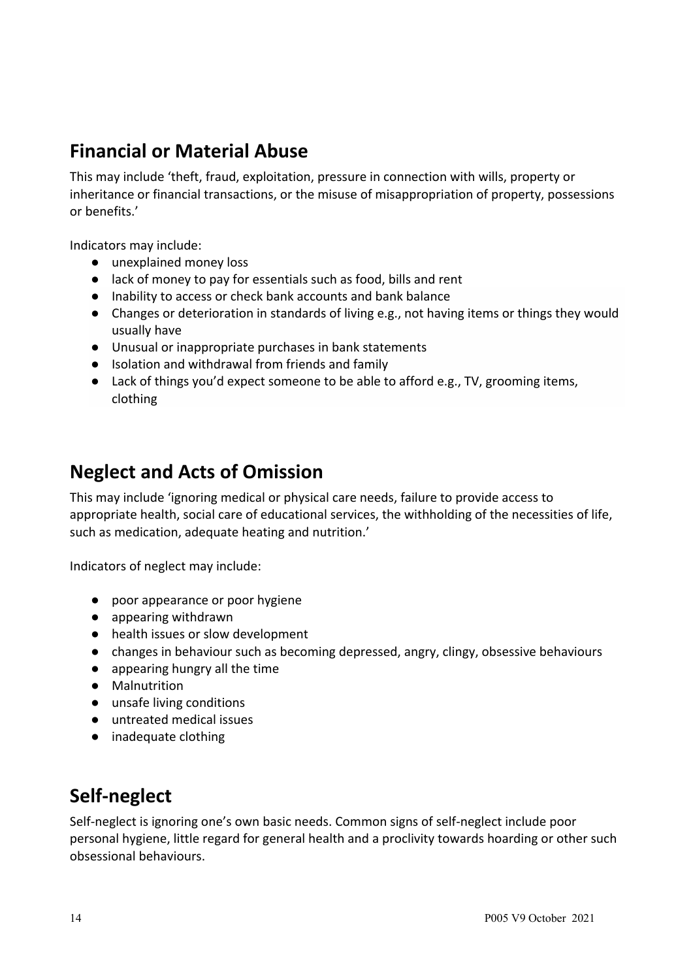#### **Financial or Material Abuse**

This may include 'theft, fraud, exploitation, pressure in connection with wills, property or inheritance or financial transactions, or the misuse of misappropriation of property, possessions or benefits.'

Indicators may include:

- unexplained money loss
- lack of money to pay for essentials such as food, bills and rent
- Inability to access or check bank accounts and bank balance
- Changes or deterioration in standards of living e.g., not having items or things they would usually have
- Unusual or inappropriate purchases in bank statements
- Isolation and withdrawal from friends and family
- Lack of things you'd expect someone to be able to afford e.g., TV, grooming items, clothing

#### **Neglect and Acts of Omission**

This may include 'ignoring medical or physical care needs, failure to provide access to appropriate health, social care of educational services, the withholding of the necessities of life, such as medication, adequate heating and nutrition.'

Indicators of neglect may include:

- poor appearance or poor hygiene
- appearing withdrawn
- health issues or slow development
- changes in behaviour such as becoming depressed, angry, clingy, obsessive behaviours
- appearing hungry all the time
- Malnutrition
- unsafe living conditions
- untreated medical issues
- inadequate clothing

## **Self-neglect**

Self-neglect is ignoring one's own basic needs. Common signs of self-neglect include poor personal hygiene, little regard for general health and a proclivity towards hoarding or other such obsessional behaviours.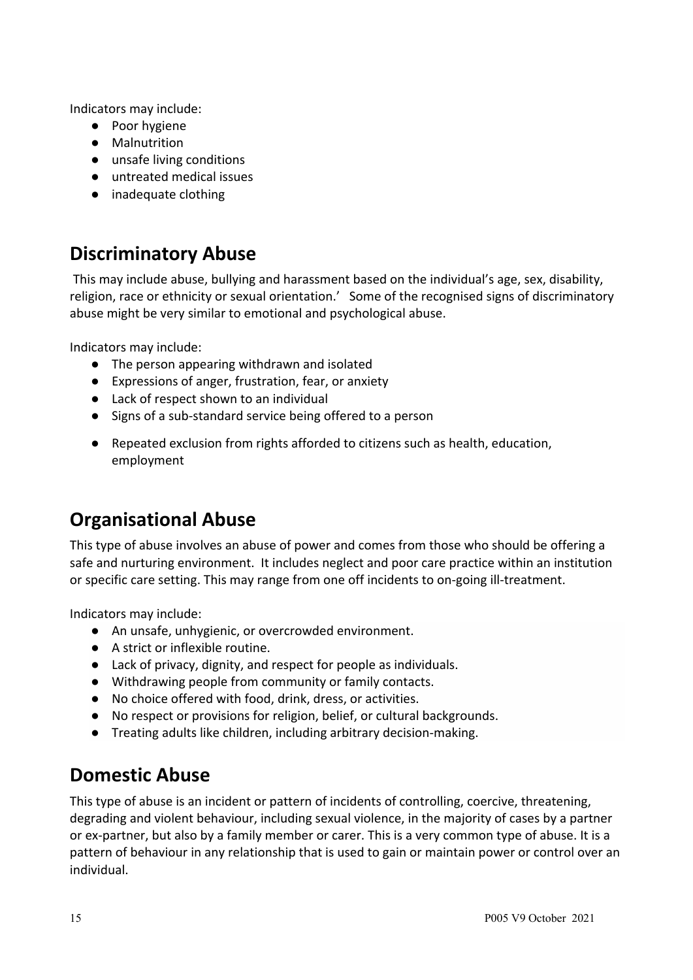Indicators may include:

- Poor hygiene
- Malnutrition
- unsafe living conditions
- untreated medical issues
- inadequate clothing

#### **Discriminatory Abuse**

This may include abuse, bullying and harassment based on the individual's age, sex, disability, religion, race or ethnicity or sexual orientation.' Some of the recognised signs of discriminatory abuse might be very similar to emotional and psychological abuse.

Indicators may include:

- The person appearing withdrawn and isolated
- Expressions of anger, frustration, fear, or anxiety
- Lack of respect shown to an individual
- Signs of a sub-standard service being offered to a person
- Repeated exclusion from rights afforded to citizens such as health, education, employment

## **Organisational Abuse**

This type of abuse involves an abuse of power and comes from those who should be offering a safe and nurturing environment. It includes neglect and poor care practice within an institution or specific care setting. This may range from one off incidents to on-going ill-treatment.

Indicators may include:

- An unsafe, unhygienic, or overcrowded environment.
- A strict or inflexible routine.
- Lack of privacy, dignity, and respect for people as individuals.
- Withdrawing people from community or family contacts.
- No choice offered with food, drink, dress, or activities.
- No respect or provisions for religion, belief, or cultural backgrounds.
- Treating adults like children, including arbitrary decision-making.

## **Domestic Abuse**

This type of abuse is an incident or pattern of incidents of controlling, coercive, threatening, degrading and violent behaviour, including sexual violence, in the majority of cases by a partner or ex-partner, but also by a family member or carer. This is a very common type of abuse. It is a pattern of behaviour in any relationship that is used to gain or maintain power or control over an individual.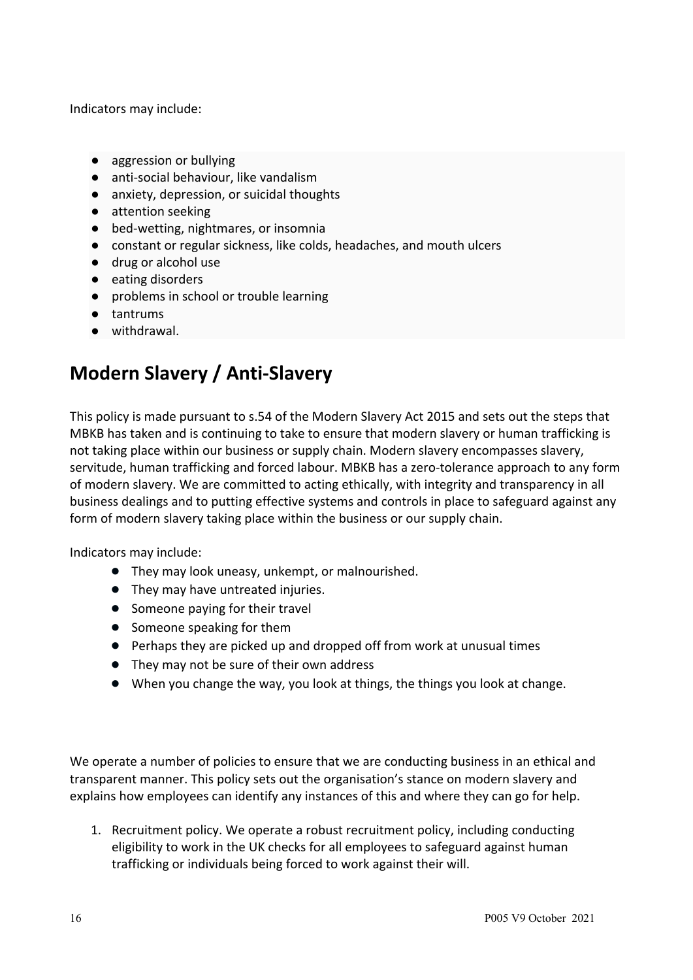Indicators may include:

- aggression or bullying
- anti-social behaviour, like vandalism
- anxiety, depression, or suicidal thoughts
- attention seeking
- bed-wetting, nightmares, or insomnia
- constant or regular sickness, like colds, headaches, and mouth ulcers
- drug or alcohol use
- eating disorders
- problems in school or trouble learning
- tantrums
- withdrawal.

## **Modern Slavery / Anti-Slavery**

This policy is made pursuant to s.54 of the Modern Slavery Act 2015 and sets out the steps that MBKB has taken and is continuing to take to ensure that modern slavery or human trafficking is not taking place within our business or supply chain. Modern slavery encompasses slavery, servitude, human trafficking and forced labour. MBKB has a zero-tolerance approach to any form of modern slavery. We are committed to acting ethically, with integrity and transparency in all business dealings and to putting effective systems and controls in place to safeguard against any form of modern slavery taking place within the business or our supply chain.

Indicators may include:

- They may look uneasy, unkempt, or malnourished.
- They may have untreated injuries.
- Someone paying for their travel
- Someone speaking for them
- Perhaps they are picked up and dropped off from work at unusual times
- They may not be sure of their own address
- When you change the way, you look at things, the things you look at change.

We operate a number of policies to ensure that we are conducting business in an ethical and transparent manner. This policy sets out the organisation's stance on modern slavery and explains how employees can identify any instances of this and where they can go for help.

1. Recruitment policy. We operate a robust recruitment policy, including conducting eligibility to work in the UK checks for all employees to safeguard against human trafficking or individuals being forced to work against their will.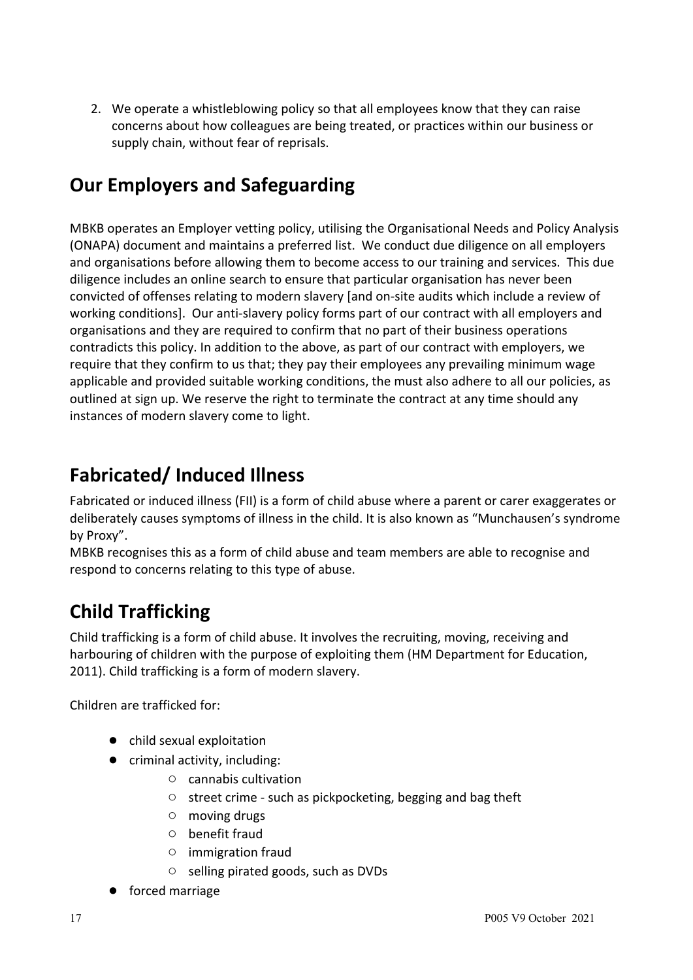2. We operate a whistleblowing policy so that all employees know that they can raise concerns about how colleagues are being treated, or practices within our business or supply chain, without fear of reprisals.

# **Our Employers and Safeguarding**

MBKB operates an Employer vetting policy, utilising the Organisational Needs and Policy Analysis (ONAPA) document and maintains a preferred list. We conduct due diligence on all employers and organisations before allowing them to become access to our training and services. This due diligence includes an online search to ensure that particular organisation has never been convicted of offenses relating to modern slavery [and on-site audits which include a review of working conditions]. Our anti-slavery policy forms part of our contract with all employers and organisations and they are required to confirm that no part of their business operations contradicts this policy. In addition to the above, as part of our contract with employers, we require that they confirm to us that; they pay their employees any prevailing minimum wage applicable and provided suitable working conditions, the must also adhere to all our policies, as outlined at sign up. We reserve the right to terminate the contract at any time should any instances of modern slavery come to light.

# **Fabricated/ Induced Illness**

Fabricated or induced illness (FII) is a form of child abuse where a parent or carer exaggerates or deliberately causes symptoms of illness in the child. It is also known as "Munchausen's syndrome by Proxy".

MBKB recognises this as a form of child abuse and team members are able to recognise and respond to concerns relating to this type of abuse.

# **Child Trafficking**

Child trafficking is a form of child abuse. It involves the recruiting, moving, receiving and harbouring of children with the purpose of exploiting them (HM Department for Education, 2011). Child trafficking is a form of modern slavery.

Children are trafficked for:

- child sexual exploitation
- criminal activity, including:
	- cannabis cultivation
	- street crime such as pickpocketing, begging and bag theft
	- moving drugs
	- benefit fraud
	- immigration fraud
	- selling pirated goods, such as DVDs
- forced marriage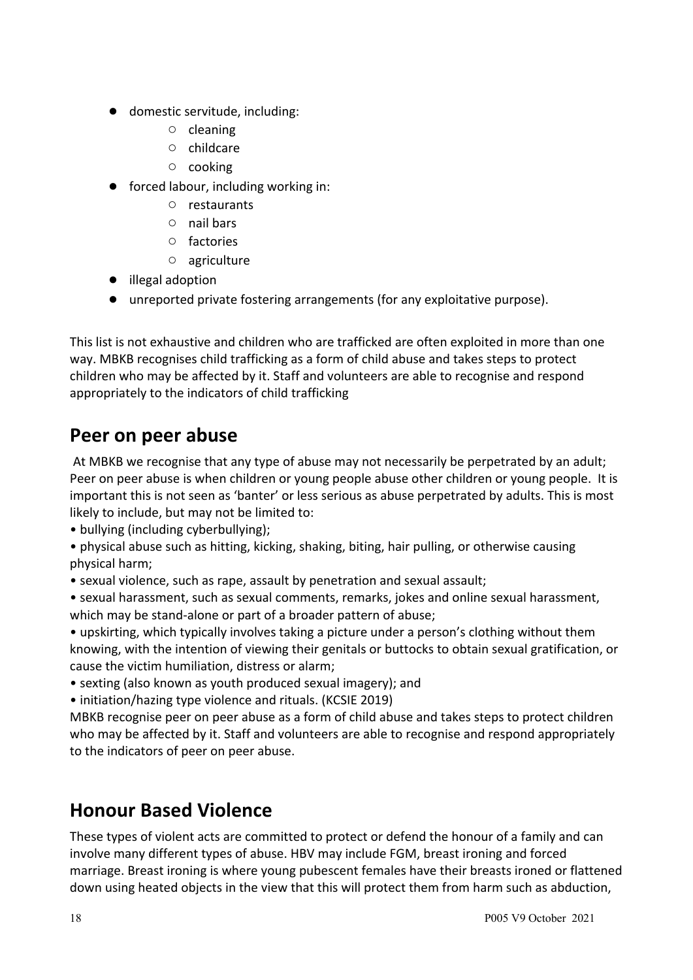- domestic servitude, including:
	- cleaning
	- childcare
	- cooking
- forced labour, including working in:
	- restaurants
	- nail bars
	- factories
	- agriculture
- illegal adoption
- unreported private fostering arrangements (for any exploitative purpose).

This list is not exhaustive and children who are trafficked are often exploited in more than one way. MBKB recognises child trafficking as a form of child abuse and takes steps to protect children who may be affected by it. Staff and volunteers are able to recognise and respond appropriately to the indicators of child trafficking

#### **Peer on peer abuse**

At MBKB we recognise that any type of abuse may not necessarily be perpetrated by an adult; Peer on peer abuse is when children or young people abuse other children or young people. It is important this is not seen as 'banter' or less serious as abuse perpetrated by adults. This is most likely to include, but may not be limited to:

• bullying (including cyberbullying);

• physical abuse such as hitting, kicking, shaking, biting, hair pulling, or otherwise causing physical harm;

• sexual violence, such as rape, assault by penetration and sexual assault;

• sexual harassment, such as sexual comments, remarks, jokes and online sexual harassment, which may be stand-alone or part of a broader pattern of abuse;

• upskirting, which typically involves taking a picture under a person's clothing without them knowing, with the intention of viewing their genitals or buttocks to obtain sexual gratification, or cause the victim humiliation, distress or alarm;

- sexting (also known as youth produced sexual imagery); and
- initiation/hazing type violence and rituals. (KCSIE 2019)

MBKB recognise peer on peer abuse as a form of child abuse and takes steps to protect children who may be affected by it. Staff and volunteers are able to recognise and respond appropriately to the indicators of peer on peer abuse.

#### **Honour Based Violence**

These types of violent acts are committed to protect or defend the honour of a family and can involve many different types of abuse. HBV may include FGM, breast ironing and forced marriage. Breast ironing is where young pubescent females have their breasts ironed or flattened down using heated objects in the view that this will protect them from harm such as abduction,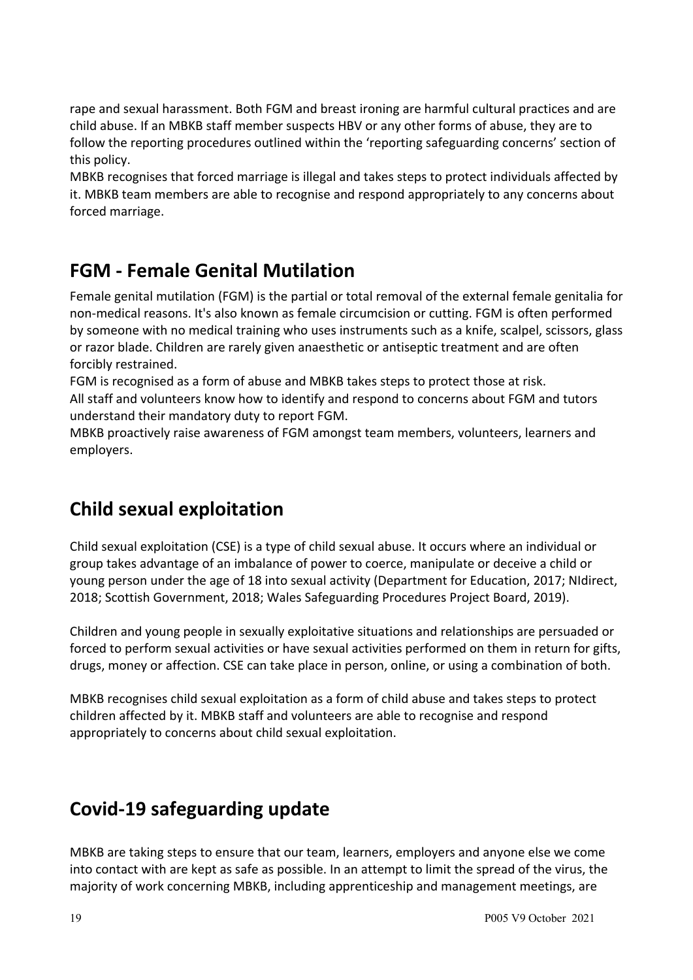rape and sexual harassment. Both FGM and breast ironing are harmful cultural practices and are child abuse. If an MBKB staff member suspects HBV or any other forms of abuse, they are to follow the reporting procedures outlined within the 'reporting safeguarding concerns' section of this policy.

MBKB recognises that forced marriage is illegal and takes steps to protect individuals affected by it. MBKB team members are able to recognise and respond appropriately to any concerns about forced marriage.

## **FGM - Female Genital Mutilation**

Female genital mutilation (FGM) is the partial or total removal of the external female genitalia for non-medical reasons. It's also known as female circumcision or cutting. FGM is often performed by someone with no medical training who uses instruments such as a knife, scalpel, scissors, glass or razor blade. Children are rarely given anaesthetic or antiseptic treatment and are often forcibly restrained.

FGM is recognised as a form of abuse and MBKB takes steps to protect those at risk. All staff and volunteers know how to identify and respond to concerns about FGM and tutors understand their mandatory duty to report FGM.

MBKB proactively raise awareness of FGM amongst team members, volunteers, learners and employers.

## **Child sexual exploitation**

Child sexual exploitation (CSE) is a type of child sexual abuse. It occurs where an individual or group takes advantage of an imbalance of power to coerce, manipulate or deceive a child or young person under the age of 18 into sexual activity (Department for Education, 2017; NIdirect, 2018; Scottish Government, 2018; Wales Safeguarding Procedures Project Board, 2019).

Children and young people in sexually exploitative situations and relationships are persuaded or forced to perform sexual activities or have sexual activities performed on them in return for gifts, drugs, money or affection. CSE can take place in person, online, or using a combination of both.

MBKB recognises child sexual exploitation as a form of child abuse and takes steps to protect children affected by it. MBKB staff and volunteers are able to recognise and respond appropriately to concerns about child sexual exploitation.

## **Covid-19 safeguarding update**

MBKB are taking steps to ensure that our team, learners, employers and anyone else we come into contact with are kept as safe as possible. In an attempt to limit the spread of the virus, the majority of work concerning MBKB, including apprenticeship and management meetings, are